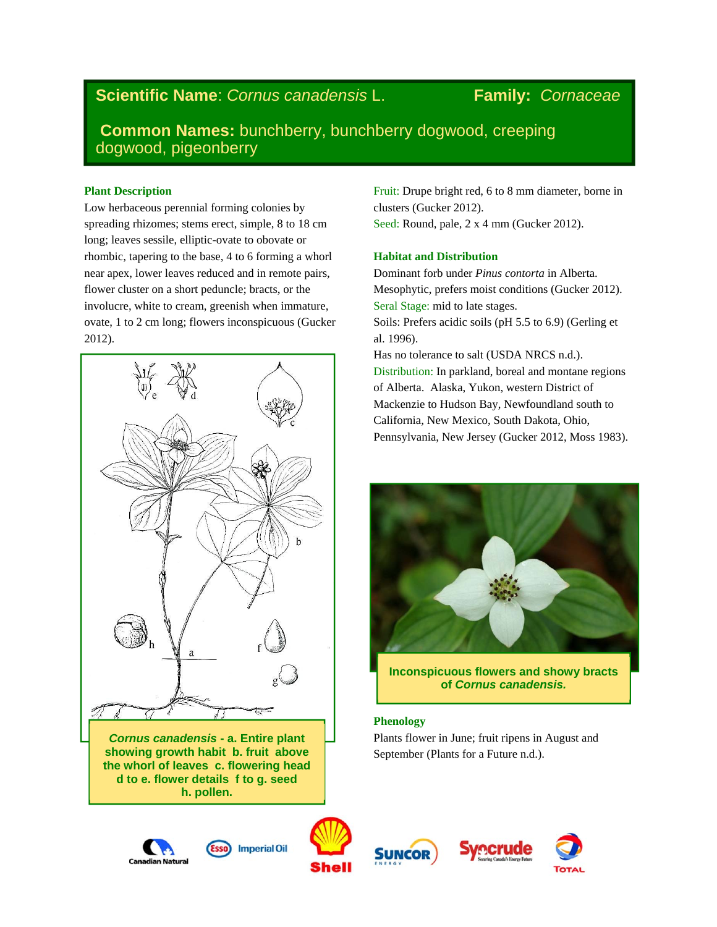## **Scientific Name**: *Cornus canadensis* L. **Family:** *Cornaceae*

**Common Names:** bunchberry, bunchberry dogwood, creeping dogwood, pigeonberry

#### **Plant Description**

Low herbaceous perennial forming colonies by spreading rhizomes; stems erect, simple, 8 to 18 cm long; leaves sessile, elliptic-ovate to obovate or rhombic, tapering to the base, 4 to 6 forming a whorl near apex, lower leaves reduced and in remote pairs, flower cluster on a short peduncle; bracts, or the involucre, white to cream, greenish when immature, ovate, 1 to 2 cm long; flowers inconspicuous (Gucker 2012).



*Cornus canadensis* **- a. Entire plant showing growth habit b. fruit above the whorl of leaves c. flowering head d to e. flower details f to g. seed h. pollen.** 

Fruit: Drupe bright red, 6 to 8 mm diameter, borne in clusters (Gucker 2012). Seed: Round, pale, 2 x 4 mm (Gucker 2012).

#### **Habitat and Distribution**

Dominant forb under *Pinus contorta* in Alberta. Mesophytic, prefers moist conditions (Gucker 2012). Seral Stage: mid to late stages. Soils: Prefers acidic soils (pH 5.5 to 6.9) (Gerling et al. 1996).

Has no tolerance to salt (USDA NRCS n.d.). Distribution: In parkland, boreal and montane regions of Alberta. Alaska, Yukon, western District of Mackenzie to Hudson Bay, Newfoundland south to California, New Mexico, South Dakota, Ohio, Pennsylvania, New Jersey (Gucker 2012, Moss 1983).



**Inconspicuous flowers and showy bracts of** *Cornus canadensis.*

#### **Phenology**

Plants flower in June; fruit ripens in August and September (Plants for a Future n.d.).





**Imperial Oil** 





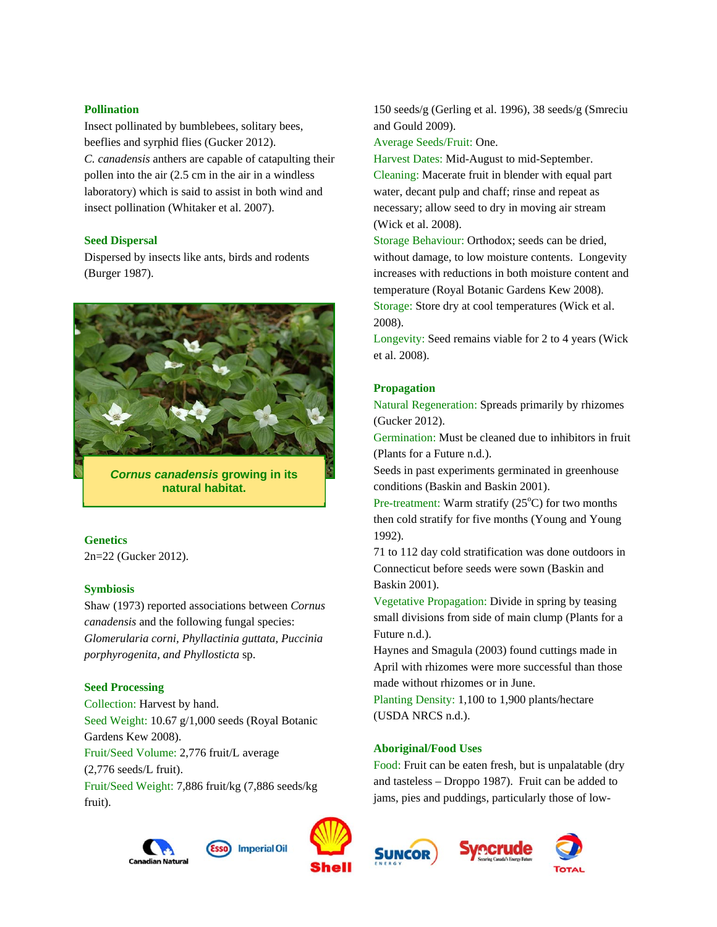#### **Pollination**

Insect pollinated by bumblebees, solitary bees, beeflies and syrphid flies (Gucker 2012). *C. canadensis* anthers are capable of catapulting their pollen into the air (2.5 cm in the air in a windless laboratory) which is said to assist in both wind and insect pollination (Whitaker et al. 2007).

### **Seed Dispersal**

Dispersed by insects like ants, birds and rodents (Burger 1987).



*Cornus canadensis* **growing in its natural habitat.** 

#### **Genetics**

2n=22 (Gucker 2012).

#### **Symbiosis**

Shaw (1973) reported associations between *Cornus canadensis* and the following fungal species: *Glomerularia corni, Phyllactinia guttata, Puccinia porphyrogenita, and Phyllosticta* sp.

#### **Seed Processing**

Collection: Harvest by hand. Seed Weight: 10.67 g/1,000 seeds (Royal Botanic Gardens Kew 2008). Fruit/Seed Volume: 2,776 fruit/L average (2,776 seeds/L fruit). Fruit/Seed Weight: 7,886 fruit/kg (7,886 seeds/kg fruit).







150 seeds/g (Gerling et al. 1996), 38 seeds/g (Smreciu and Gould 2009).

Average Seeds/Fruit: One.

Harvest Dates: Mid-August to mid-September. Cleaning: Macerate fruit in blender with equal part water, decant pulp and chaff; rinse and repeat as necessary; allow seed to dry in moving air stream (Wick et al. 2008).

Storage Behaviour: Orthodox; seeds can be dried, without damage, to low moisture contents. Longevity increases with reductions in both moisture content and temperature (Royal Botanic Gardens Kew 2008). Storage: Store dry at cool temperatures (Wick et al. 2008).

Longevity: Seed remains viable for 2 to 4 years (Wick et al. 2008).

#### **Propagation**

Natural Regeneration: Spreads primarily by rhizomes (Gucker 2012).

Germination: Must be cleaned due to inhibitors in fruit (Plants for a Future n.d.).

Seeds in past experiments germinated in greenhouse conditions (Baskin and Baskin 2001).

Pre-treatment: Warm stratify  $(25^{\circ}C)$  for two months then cold stratify for five months (Young and Young 1992).

71 to 112 day cold stratification was done outdoors in Connecticut before seeds were sown (Baskin and Baskin 2001).

Vegetative Propagation: Divide in spring by teasing small divisions from side of main clump (Plants for a Future n.d.).

Haynes and Smagula (2003) found cuttings made in April with rhizomes were more successful than those made without rhizomes or in June.

Planting Density: 1,100 to 1,900 plants/hectare (USDA NRCS n.d.).

#### **Aboriginal/Food Uses**

Food: Fruit can be eaten fresh, but is unpalatable (dry and tasteless – Droppo 1987). Fruit can be added to jams, pies and puddings, particularly those of low-



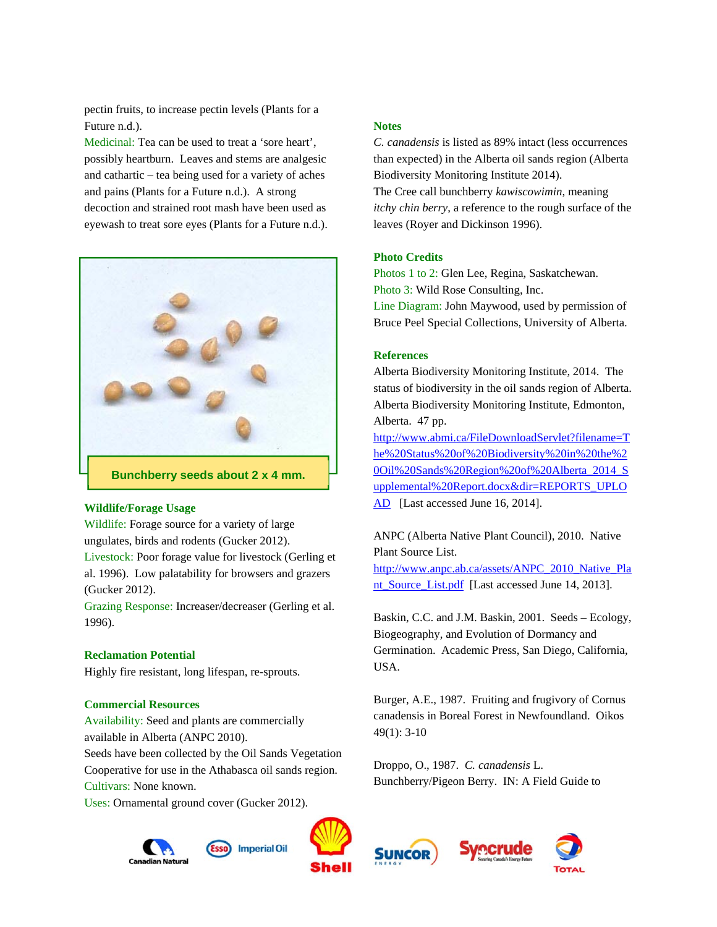pectin fruits, to increase pectin levels (Plants for a Future n.d.).

Medicinal: Tea can be used to treat a 'sore heart', possibly heartburn. Leaves and stems are analgesic and cathartic – tea being used for a variety of aches and pains (Plants for a Future n.d.). A strong decoction and strained root mash have been used as eyewash to treat sore eyes (Plants for a Future n.d.).



#### **Wildlife/Forage Usage**

Wildlife: Forage source for a variety of large ungulates, birds and rodents (Gucker 2012).

Livestock: Poor forage value for livestock (Gerling et al. 1996). Low palatability for browsers and grazers (Gucker 2012).

Grazing Response: Increaser/decreaser (Gerling et al. 1996).

#### **Reclamation Potential**

Highly fire resistant, long lifespan, re-sprouts.

#### **Commercial Resources**

Availability: Seed and plants are commercially available in Alberta (ANPC 2010).

Seeds have been collected by the Oil Sands Vegetation Cooperative for use in the Athabasca oil sands region. Cultivars: None known.

Uses: Ornamental ground cover (Gucker 2012).



# **Notes**

*C. canadensis* is listed as 89% intact (less occurrences than expected) in the Alberta oil sands region (Alberta Biodiversity Monitoring Institute 2014). The Cree call bunchberry *kawiscowimin*, meaning

*itchy chin berry*, a reference to the rough surface of the leaves (Royer and Dickinson 1996).

#### **Photo Credits**

Photos 1 to 2: Glen Lee, Regina, Saskatchewan. Photo 3: Wild Rose Consulting, Inc. Line Diagram: John Maywood, used by permission of Bruce Peel Special Collections, University of Alberta.

#### **References**

Alberta Biodiversity Monitoring Institute, 2014. The status of biodiversity in the oil sands region of Alberta. Alberta Biodiversity Monitoring Institute, Edmonton, Alberta. 47 pp.

http://www.abmi.ca/FileDownloadServlet?filename=T he%20Status%20of%20Biodiversity%20in%20the%2 0Oil%20Sands%20Region%20of%20Alberta\_2014\_S upplemental%20Report.docx&dir=REPORTS\_UPLO AD [Last accessed June 16, 2014].

ANPC (Alberta Native Plant Council), 2010. Native Plant Source List.

http://www.anpc.ab.ca/assets/ANPC\_2010\_Native\_Pla nt\_Source\_List.pdf [Last accessed June 14, 2013].

Baskin, C.C. and J.M. Baskin, 2001. Seeds – Ecology, Biogeography, and Evolution of Dormancy and Germination. Academic Press, San Diego, California, USA.

Burger, A.E., 1987. Fruiting and frugivory of Cornus canadensis in Boreal Forest in Newfoundland. Oikos 49(1): 3-10

Droppo, O., 1987. *C. canadensis* L. Bunchberry/Pigeon Berry. IN: A Field Guide to